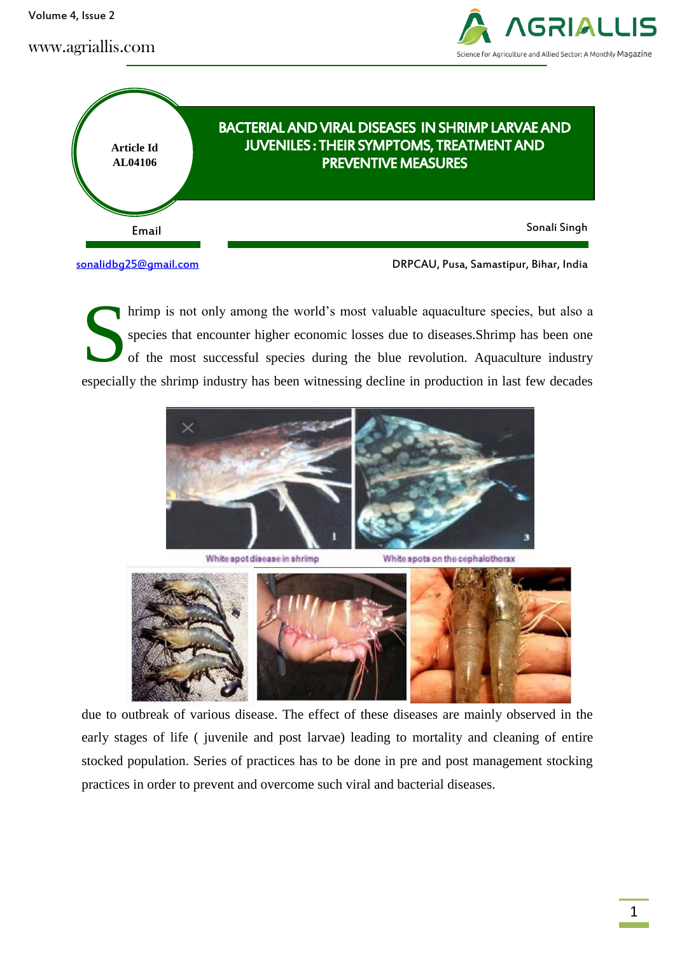Volume 4, Issue 2





hrimp is not only among the world's most valuable aquaculture species, but also a species that encounter higher economic losses due to diseases.Shrimp has been one of the most successful species during the blue revolution. Aquaculture industry especially the shrimp industry has been witnessing decline in production in last few decades S



White spot disease in shrimp

White spots on the cephalothorax



due to outbreak of various disease. The effect of these diseases are mainly observed in the early stages of life ( juvenile and post larvae) leading to mortality and cleaning of entire stocked population. Series of practices has to be done in pre and post management stocking practices in order to prevent and overcome such viral and bacterial diseases.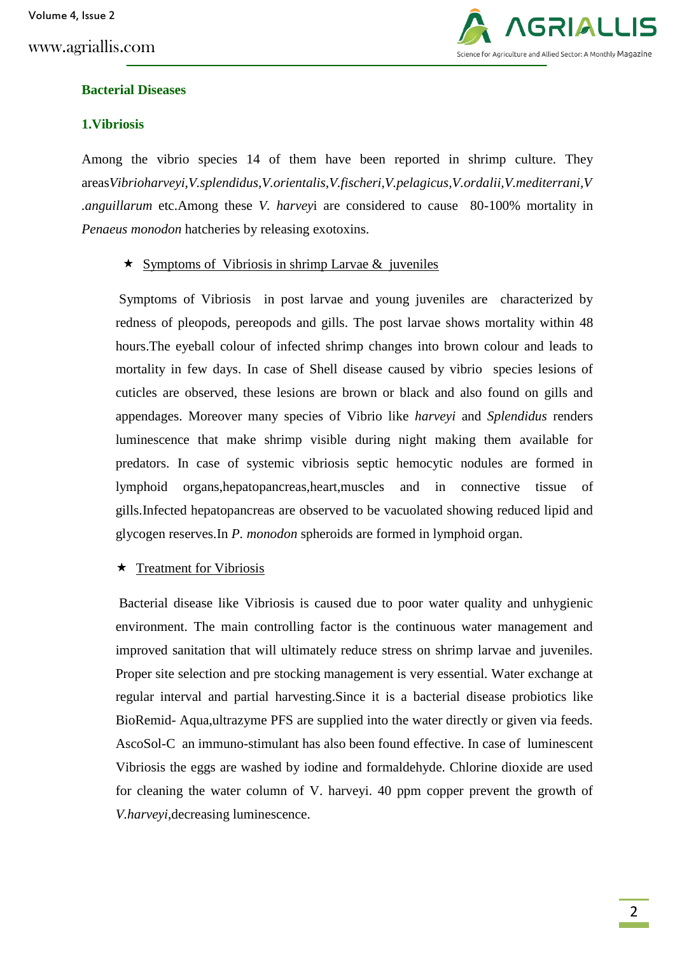

### **Bacterial Diseases**

### **1.Vibriosis**

Among the vibrio species 14 of them have been reported in shrimp culture. They areas*Vibrioharveyi,V.splendidus,V.orientalis,V.fischeri,V.pelagicus,V.ordalii,V.mediterrani,V .anguillarum* etc.Among these *V. harvey*i are considered to cause 80-100% mortality in *Penaeus monodon* hatcheries by releasing exotoxins.

#### $\star$  Symptoms of Vibriosis in shrimp Larvae & juveniles

Symptoms of Vibriosis in post larvae and young juveniles are characterized by redness of pleopods, pereopods and gills. The post larvae shows mortality within 48 hours.The eyeball colour of infected shrimp changes into brown colour and leads to mortality in few days. In case of Shell disease caused by vibrio species lesions of cuticles are observed, these lesions are brown or black and also found on gills and appendages. Moreover many species of Vibrio like *harveyi* and *Splendidus* renders luminescence that make shrimp visible during night making them available for predators. In case of systemic vibriosis septic hemocytic nodules are formed in lymphoid organs,hepatopancreas,heart,muscles and in connective tissue of gills.Infected hepatopancreas are observed to be vacuolated showing reduced lipid and glycogen reserves.In *P. monodon* spheroids are formed in lymphoid organ.

#### $\star$  Treatment for Vibriosis

Bacterial disease like Vibriosis is caused due to poor water quality and unhygienic environment. The main controlling factor is the continuous water management and improved sanitation that will ultimately reduce stress on shrimp larvae and juveniles. Proper site selection and pre stocking management is very essential. Water exchange at regular interval and partial harvesting.Since it is a bacterial disease probiotics like BioRemid- Aqua,ultrazyme PFS are supplied into the water directly or given via feeds. AscoSol-C an immuno-stimulant has also been found effective. In case of luminescent Vibriosis the eggs are washed by iodine and formaldehyde. Chlorine dioxide are used for cleaning the water column of V. harveyi. 40 ppm copper prevent the growth of *V.harveyi*,decreasing luminescence.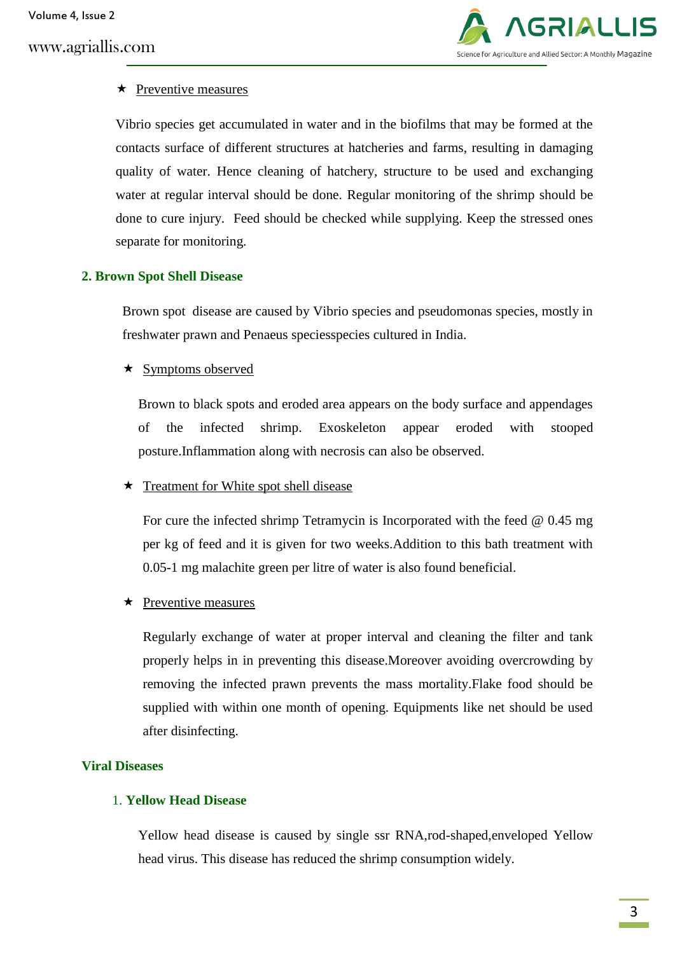

## $\star$  Preventive measures

Vibrio species get accumulated in water and in the biofilms that may be formed at the contacts surface of different structures at hatcheries and farms, resulting in damaging quality of water. Hence cleaning of hatchery, structure to be used and exchanging water at regular interval should be done. Regular monitoring of the shrimp should be done to cure injury. Feed should be checked while supplying. Keep the stressed ones separate for monitoring.

## **2. Brown Spot Shell Disease**

Brown spot disease are caused by Vibrio species and pseudomonas species, mostly in freshwater prawn and Penaeus speciesspecies cultured in India.

## $\star$  Symptoms observed

Brown to black spots and eroded area appears on the body surface and appendages of the infected shrimp. Exoskeleton appear eroded with stooped posture.Inflammation along with necrosis can also be observed.

## $\star$  Treatment for White spot shell disease

For cure the infected shrimp Tetramycin is Incorporated with the feed @ 0.45 mg per kg of feed and it is given for two weeks.Addition to this bath treatment with 0.05-1 mg malachite green per litre of water is also found beneficial.

## $\star$  Preventive measures

Regularly exchange of water at proper interval and cleaning the filter and tank properly helps in in preventing this disease.Moreover avoiding overcrowding by removing the infected prawn prevents the mass mortality.Flake food should be supplied with within one month of opening. Equipments like net should be used after disinfecting.

## **Viral Diseases**

## 1. **Yellow Head Disease**

Yellow head disease is caused by single ssr RNA,rod-shaped,enveloped Yellow head virus. This disease has reduced the shrimp consumption widely.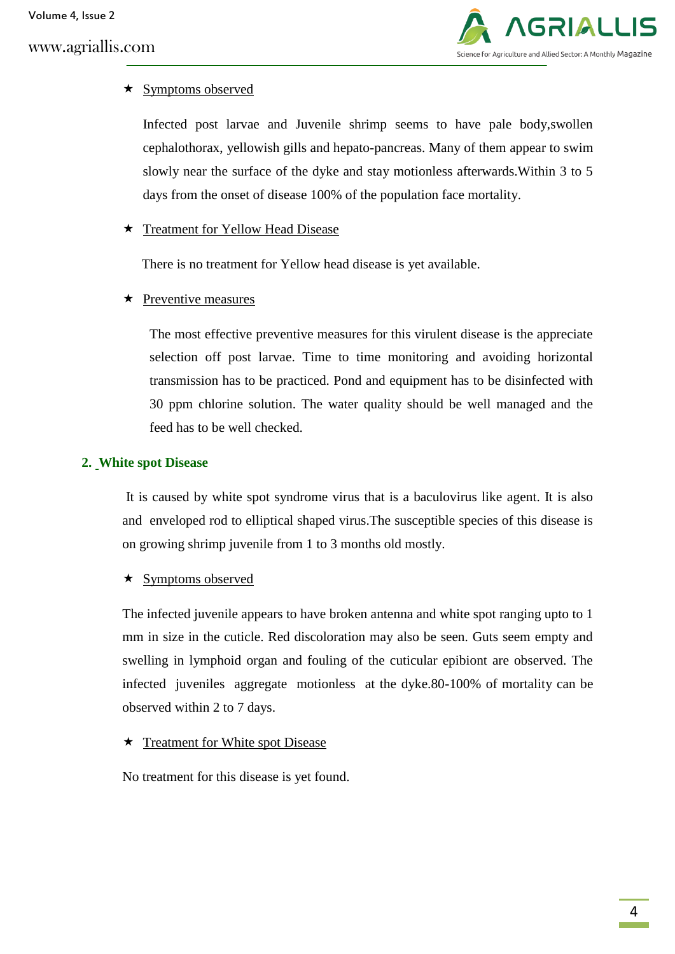

## $\star$  Symptoms observed

Infected post larvae and Juvenile shrimp seems to have pale body,swollen cephalothorax, yellowish gills and hepato-pancreas. Many of them appear to swim slowly near the surface of the dyke and stay motionless afterwards.Within 3 to 5 days from the onset of disease 100% of the population face mortality.

## **★** Treatment for Yellow Head Disease

There is no treatment for Yellow head disease is yet available.

## $\star$  Preventive measures

The most effective preventive measures for this virulent disease is the appreciate selection off post larvae. Time to time monitoring and avoiding horizontal transmission has to be practiced. Pond and equipment has to be disinfected with 30 ppm chlorine solution. The water quality should be well managed and the feed has to be well checked.

## **2. White spot Disease**

It is caused by white spot syndrome virus that is a baculovirus like agent. It is also and enveloped rod to elliptical shaped virus.The susceptible species of this disease is on growing shrimp juvenile from 1 to 3 months old mostly.

## $\star$  Symptoms observed

The infected juvenile appears to have broken antenna and white spot ranging upto to 1 mm in size in the cuticle. Red discoloration may also be seen. Guts seem empty and swelling in lymphoid organ and fouling of the cuticular epibiont are observed. The infected juveniles aggregate motionless at the dyke.80-100% of mortality can be observed within 2 to 7 days.

## $\star$  Treatment for White spot Disease

No treatment for this disease is yet found.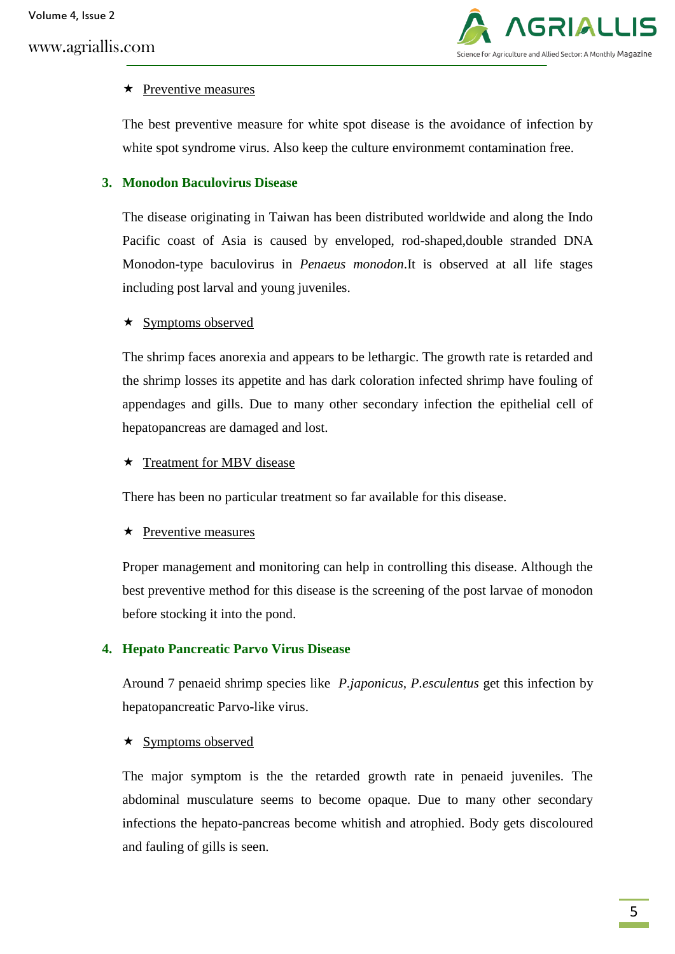

### $\star$  Preventive measures

The best preventive measure for white spot disease is the avoidance of infection by white spot syndrome virus. Also keep the culture environmemt contamination free.

## **3. Monodon Baculovirus Disease**

The disease originating in Taiwan has been distributed worldwide and along the Indo Pacific coast of Asia is caused by enveloped, rod-shaped,double stranded DNA Monodon-type baculovirus in *Penaeus monodon*.It is observed at all life stages including post larval and young juveniles.

### $\star$  Symptoms observed

The shrimp faces anorexia and appears to be lethargic. The growth rate is retarded and the shrimp losses its appetite and has dark coloration infected shrimp have fouling of appendages and gills. Due to many other secondary infection the epithelial cell of hepatopancreas are damaged and lost.

#### ★ Treatment for MBV disease

There has been no particular treatment so far available for this disease.

#### $\star$  Preventive measures

Proper management and monitoring can help in controlling this disease. Although the best preventive method for this disease is the screening of the post larvae of monodon before stocking it into the pond.

## **4. Hepato Pancreatic Parvo Virus Disease**

Around 7 penaeid shrimp species like *P.japonicus, P.esculentus* get this infection by hepatopancreatic Parvo-like virus.

#### $\star$  Symptoms observed

The major symptom is the the retarded growth rate in penaeid juveniles. The abdominal musculature seems to become opaque. Due to many other secondary infections the hepato-pancreas become whitish and atrophied. Body gets discoloured and fauling of gills is seen.